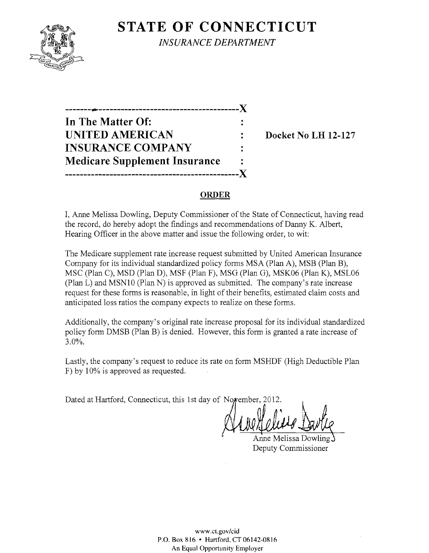# **STATE OF CONNECTICUT**



*INSURANCE DEPARTMENT* 

-------~--------------------------------------)( **In The Matter Of: UNITED AMERICAN :** Docket No LH 12-127 **INSURANCE COMPANY Medicare Supplement Insurance -----------------------------------------------)(** 

#### **ORDER**

I, Anne Melissa Dowling, Deputy Commissioner of the State of Connecticut, having read the record, do hereby adopt the findings and recommendations of Danny K. Albert, Hearing Officer in the above matter and issue the following order, to wit:

The Medicare supplement rate increase request submitted by United American Insurance Company for its individual standardized policy forms MSA (Plan A), MSB (Plan B), MSC (Plan C), MSD (Plan D), MSF (Plan F), MSG (Plan G), MSK06 (Plan K), MSL06 (Plan L) and MSNIO (Plan N) is approved as submitted. The company's rate increase request for these forms is reasonable, in light of their benefits, estimated claim costs and anticipated loss ratios the company expects to realize on these forms.

Additionally, the company's original rate increase proposal for its individual standardized policy form DMSB (Plan B) is denied. However, this form is granted a rate increase of 3.0%.

Lastly, the company's request to reduce its rate on form MSHDF (High Deductible Plan F) by 10% is approved as requested.

Dated at Hartford, Connecticut, this 1st day of Noyember, 2012.

 $\blacksquare$ i --f-~----=--------'----\,-

Anne Melissa Dowling Deputy Commissioner

www.cLgov/cid P.O. Box 816 • Hartford. CT 06142-0816 An Equal Opportunity Employer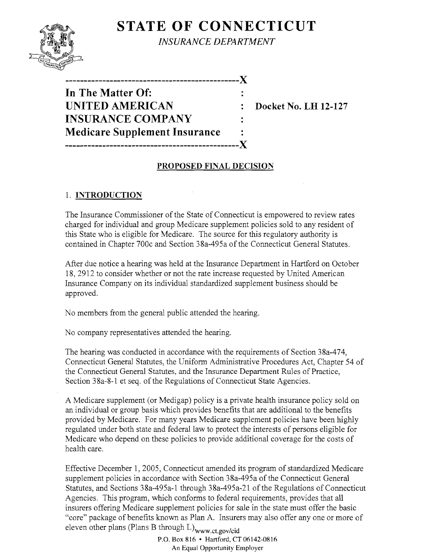## **STATE OF CONNECTICUT**



*INSURANCE DEPARTMENT* 

| In The Matter Of:                    |  |
|--------------------------------------|--|
| <b>UNITED AMERICAN</b>               |  |
| <b>INSURANCE COMPANY</b>             |  |
| <b>Medicare Supplement Insurance</b> |  |
|                                      |  |

**Docket No. LH 12-127** 

### **PROPOSED FINAL DECISION**

### 1. **INTRODUCTION**

The Insurance Commissioner of the State of Connecticut is empowered to review rates charged for individual and group Medicare supplement policies sold to any resident of this State who is eligible for Medicare. The source for this regulatory authority is contained in Chapter 700c and Section 38a-495a of the Connecticut General Statutes.

After due notice a hearing was held at the Insurance Department in Hartford on October IS, 2912 to consider whether or not the rate increase requested by United American Insurance Company on its individual standardized supplement business should be approved.

No members from the general public attended the hearing.

No company representatives attended the hearing.

The hearing was conducted in accordance with the requirements of Section 3Sa-474, Connecticut General Statutes, the Uniform Administrative Procedures Act, Chapter 54 of the Connecticut General Statutes, and the Insurance Department Rules of Practice, Section 38a-8-l et seq. of the Regulations of Connecticut State Agencies.

A Medicare supplement (or Medigap) policy is a private health insurance policy sold on an individual or group basis which provides benefits that are additional to the benefits provided by Medicare. For many years Medicare supplement policies have been highly regulated under both state and federal law to protect the interests of persons eligible for Medicare who depend on these policies to provide additional coverage for the costs of health care.

Effective December 1, 2005, Connecticut amended its program of standardized Medicare supplement policies in accordance with Section 3Sa-495a of the Connecticut General Statutes, and Sections 38a-495a-l through 3Sa-495a-2l of the Regulations of Connecticut Agencies. This program, which conforms to federal requirements, provides that all insurers offering Medicare supplement policies for sale in the state must offer the basic "core" package of benefits known as Plan A. Insurers may also offer anyone or more of eleven other plans (Plans B through  $L$ )<sub>www.ct.gov/cid</sub>

P.O. Box 816 • Hartford, CT 06142-0816 An Equal Opportunity Employer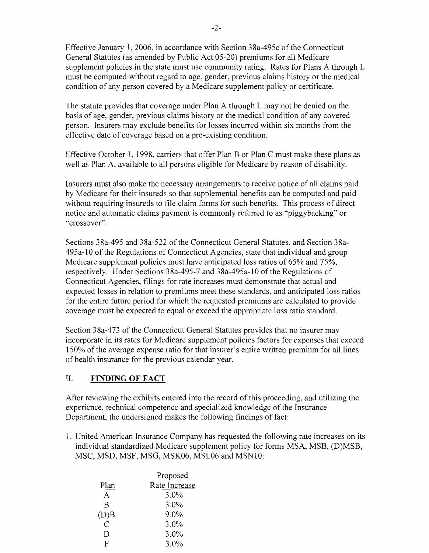Effective January 1, 2006, in accordance with Section 38a-495c of the Connecticut General Statutes (as amended by Public Act 05-20) premiums for all Medicare supplement policies in the state must use community rating. Rates for Plans A through L must be computed without regard to age, gender, previous claims history or the medical condition of any person covered by a Medicare supplement policy or certificate.

The statute provides that coverage under Plan A through L may not be denied on the basis of age, gender, previous claims history or the medical condition of any covered person. Insurers may exclude benefits for losses incurred within six months from the effective date of coverage based on a pre-existing condition.

Effective October 1, 1998, carriers that offer Plan B or Plan C must make these plans as well as Plan A, available to all persons eligible for Medicare by reason of disability.

Insurers must also make the necessary arrangements to receive notice of all claims paid by Medicare for their insureds so that supplemental benefits can be computed and paid without requiring insureds to file claim forms for such benefits. This process of direct notice and automatic claims payment is commonly referred to as "piggybacking" or "crossover".

Sections 38a-495 and 38a-522 of the Connecticut General Statutes, and Section 38a-495a-10 of the Regulations of Connecticut Agencies, state that individual and group Medicare supplement policies must have anticipated loss ratios of 65% and 75%, respectively. Under Sections 38a-495-7 and 38a-495a-10 of the Regulations of Connecticut Agencies, filings for rate increases must demonstrate that actual and expected losses in relation to premiums meet these standards, and anticipated loss ratios for the entire future period for which the requested premiums are calculated to provide coverage must be expected to equal or exceed the appropriate loss ratio standard.

Section 38a-473 of the Connecticut General Statutes provides that no insurer may incorporate in its rates for Medicare supplement policies factors for expenses that exceed 150% of the average expense ratio for that insurer's entire written premium for all lines of health insurance for the previous calendar year.

#### **II. FINDING OF FACT**

After reviewing the exhibits entered into the record of this proceeding, and utilizing the experience, technical competence and specialized knowledge of the Insurance Department, the undersigned makes the following findings of fact:

1. United American Insurance Company has requested the following rate increases on its individual standardized Medicare supplement policy for forms MSA, MSB, (D)MSB, MSC, MSD, MSF, MSG, MSK06, MSL06 and MSN10:

|                | Proposed      |
|----------------|---------------|
| Plan           | Rate Increase |
| A              | 3.0%          |
| B              | 3.0%          |
| (D)B           | 9.0%          |
| $\overline{C}$ | 3.0%          |
| ו ו            | 3.0%          |
| F              | 3.0%          |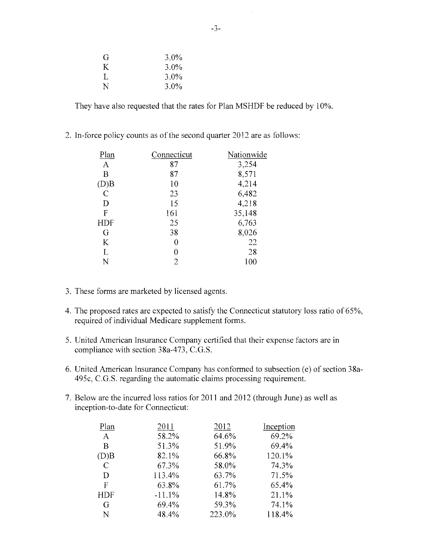| G | $3.0\%$ |
|---|---------|
| K | $3.0\%$ |
| L | $3.0\%$ |
| N | $3.0\%$ |

They have also requested that the rates for Plan MSHDF be reduced by 10%.

2. In-force policy counts as of the second quarter 2012 are as follows:

| Plan         | Connecticut    | Nationwide |
|--------------|----------------|------------|
| $\mathbf{A}$ | 87             | 3,254      |
| B            | 87             | 8,571      |
| (D)B         | 10             | 4,214      |
| $\mathbf C$  | 23             | 6,482      |
| D            | 15             | 4,218      |
| $\mathbf{F}$ | 161            | 35,148     |
| HDF          | 25             | 6,763      |
| G            | 38             | 8,026      |
| K            | 0              | 22         |
| $\Gamma$     | 0              | 28         |
| N            | $\overline{c}$ | 100        |
|              |                |            |

- 3. These forms are marketed by licensed agents.
- 4. The proposed rates are expected to satisfy the Connecticut statutory loss ratio of 65%, required of individual Medicare supplement forms.
- 5. United American Insurance Company certified that their expense factors are in compliance with section 38a-473, C.G.S.
- 6. United American Insurance Company has conformed to subsection (e) of section 38a-495c, C.G.S. regarding the automatic claims processing requirement.
- 7. Below are the incurred loss ratios for 2011 and 2012 (through June) as well as inception-to-date for Connecticut:

| Plan          | 2011     | 2012   | Inception |
|---------------|----------|--------|-----------|
| $\mathbf{A}$  | 58.2%    | 64.6%  | 69.2%     |
| B             | 51.3%    | 51.9%  | 69.4%     |
| (D)B          | 82.1%    | 66.8%  | 120.1%    |
| $\mathcal{C}$ | 67.3%    | 58.0%  | 74.3%     |
| D             | 113.4%   | 63.7%  | 71.5%     |
| F             | 63.8%    | 61.7%  | 65.4%     |
| <b>HDF</b>    | $-11.1%$ | 14.8%  | 21.1%     |
| G             | 69.4%    | 59.3%  | 74.1%     |
| N             | 48.4%    | 223.0% | 118.4%    |

 $\bar{\mathcal{A}}$